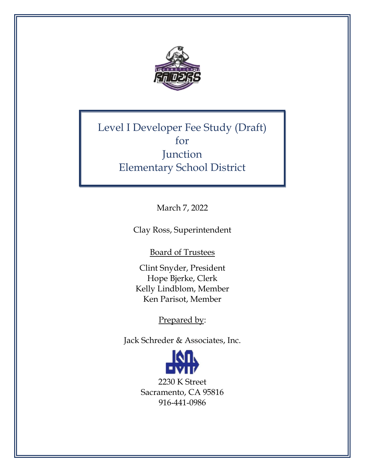

Level I Developer Fee Study (Draft) for **Junction** Elementary School District

March 7, 2022

Clay Ross, Superintendent

Board of Trustees

Clint Snyder, President Hope Bjerke, Clerk Kelly Lindblom, Member Ken Parisot, Member

Prepared by:

Jack Schreder & Associates, Inc.

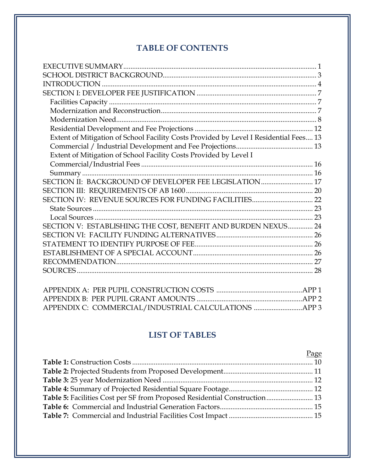# **TABLE OF CONTENTS**

| Extent of Mitigation of School Facility Costs Provided by Level I Residential Fees 13 |    |
|---------------------------------------------------------------------------------------|----|
|                                                                                       |    |
| Extent of Mitigation of School Facility Costs Provided by Level I                     |    |
|                                                                                       |    |
|                                                                                       |    |
| SECTION II: BACKGROUND OF DEVELOPER FEE LEGISLATION 17                                |    |
|                                                                                       |    |
|                                                                                       |    |
|                                                                                       |    |
|                                                                                       |    |
| SECTION V: ESTABLISHING THE COST, BENEFIT AND BURDEN NEXUS 24                         |    |
|                                                                                       |    |
|                                                                                       |    |
|                                                                                       |    |
|                                                                                       |    |
|                                                                                       | 28 |
|                                                                                       |    |

## **LIST OF TABLES**

|                                                                           | Page |
|---------------------------------------------------------------------------|------|
|                                                                           |      |
|                                                                           |      |
|                                                                           |      |
|                                                                           |      |
| Table 5: Facilities Cost per SF from Proposed Residential Construction 13 |      |
|                                                                           |      |
|                                                                           |      |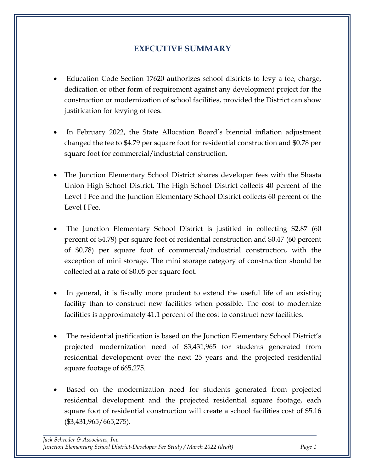# **EXECUTIVE SUMMARY**

- <span id="page-2-0"></span>• Education Code Section 17620 authorizes school districts to levy a fee, charge, dedication or other form of requirement against any development project for the construction or modernization of school facilities, provided the District can show justification for levying of fees.
- In February 2022, the State Allocation Board's biennial inflation adjustment changed the fee to \$4.79 per square foot for residential construction and \$0.78 per square foot for commercial/industrial construction.
- The Junction Elementary School District shares developer fees with the Shasta Union High School District. The High School District collects 40 percent of the Level I Fee and the Junction Elementary School District collects 60 percent of the Level I Fee.
- The Junction Elementary School District is justified in collecting \$2.87 (60 percent of \$4.79) per square foot of residential construction and \$0.47 (60 percent of \$0.78) per square foot of commercial/industrial construction, with the exception of mini storage. The mini storage category of construction should be collected at a rate of \$0.05 per square foot.
- In general, it is fiscally more prudent to extend the useful life of an existing facility than to construct new facilities when possible. The cost to modernize facilities is approximately 41.1 percent of the cost to construct new facilities.
- The residential justification is based on the Junction Elementary School District's projected modernization need of \$3,431,965 for students generated from residential development over the next 25 years and the projected residential square footage of 665,275.
- Based on the modernization need for students generated from projected residential development and the projected residential square footage, each square foot of residential construction will create a school facilities cost of \$5.16 (\$3,431,965/665,275).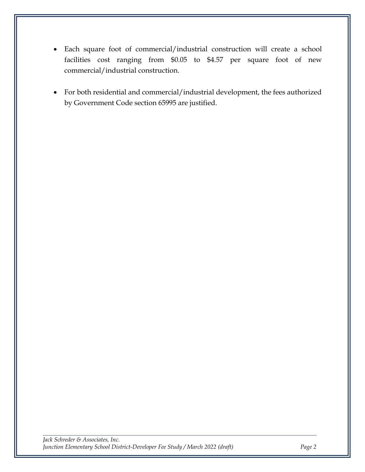- Each square foot of commercial/industrial construction will create a school facilities cost ranging from \$0.05 to \$4.57 per square foot of new commercial/industrial construction.
- For both residential and commercial/industrial development, the fees authorized by Government Code section 65995 are justified.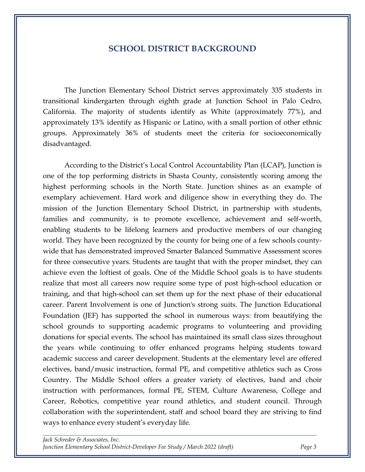#### **SCHOOL DISTRICT BACKGROUND**

<span id="page-4-0"></span>The Junction Elementary School District serves approximately 335 students in transitional kindergarten through eighth grade at Junction School in Palo Cedro, California. The majority of students identify as White (approximately 77%), and approximately 13% identify as Hispanic or Latino, with a small portion of other ethnic groups. Approximately 36% of students meet the criteria for socioeconomically disadvantaged.

According to the District's Local Control Accountability Plan (LCAP), Junction is one of the top performing districts in Shasta County, consistently scoring among the highest performing schools in the North State. Junction shines as an example of exemplary achievement. Hard work and diligence show in everything they do. The mission of the Junction Elementary School District, in partnership with students, families and community, is to promote excellence, achievement and self-worth, enabling students to be lifelong learners and productive members of our changing world. They have been recognized by the county for being one of a few schools countywide that has demonstrated improved Smarter Balanced Summative Assessment scores for three consecutive years. Students are taught that with the proper mindset, they can achieve even the loftiest of goals. One of the Middle School goals is to have students realize that most all careers now require some type of post high-school education or training, and that high-school can set them up for the next phase of their educational career. Parent Involvement is one of Junction's strong suits. The Junction Educational Foundation (JEF) has supported the school in numerous ways: from beautifying the school grounds to supporting academic programs to volunteering and providing donations for special events. The school has maintained its small class sizes throughout the years while continuing to offer enhanced programs helping students toward academic success and career development. Students at the elementary level are offered electives, band/music instruction, formal PE, and competitive athletics such as Cross Country. The Middle School offers a greater variety of electives, band and choir instruction with performances, formal PE, STEM, Culture Awareness, College and Career, Robotics, competitive year round athletics, and student council. Through collaboration with the superintendent, staff and school board they are striving to find ways to enhance every student's everyday life.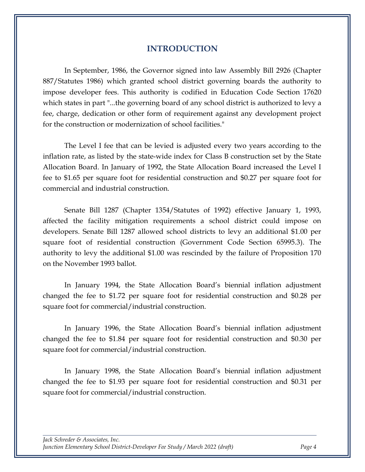#### **INTRODUCTION**

<span id="page-5-0"></span>In September, 1986, the Governor signed into law Assembly Bill 2926 (Chapter 887/Statutes 1986) which granted school district governing boards the authority to impose developer fees. This authority is codified in Education Code Section 17620 which states in part "...the governing board of any school district is authorized to levy a fee, charge, dedication or other form of requirement against any development project for the construction or modernization of school facilities."

The Level I fee that can be levied is adjusted every two years according to the inflation rate, as listed by the state-wide index for Class B construction set by the State Allocation Board. In January of 1992, the State Allocation Board increased the Level I fee to \$1.65 per square foot for residential construction and \$0.27 per square foot for commercial and industrial construction.

Senate Bill 1287 (Chapter 1354/Statutes of 1992) effective January 1, 1993, affected the facility mitigation requirements a school district could impose on developers. Senate Bill 1287 allowed school districts to levy an additional \$1.00 per square foot of residential construction (Government Code Section 65995.3). The authority to levy the additional \$1.00 was rescinded by the failure of Proposition 170 on the November 1993 ballot.

In January 1994, the State Allocation Board's biennial inflation adjustment changed the fee to \$1.72 per square foot for residential construction and \$0.28 per square foot for commercial/industrial construction.

In January 1996, the State Allocation Board's biennial inflation adjustment changed the fee to \$1.84 per square foot for residential construction and \$0.30 per square foot for commercial/industrial construction.

In January 1998, the State Allocation Board's biennial inflation adjustment changed the fee to \$1.93 per square foot for residential construction and \$0.31 per square foot for commercial/industrial construction.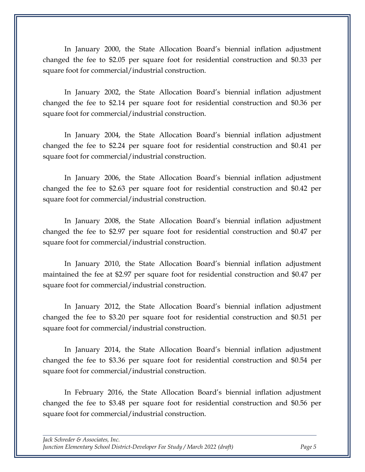In January 2000, the State Allocation Board's biennial inflation adjustment changed the fee to \$2.05 per square foot for residential construction and \$0.33 per square foot for commercial/industrial construction.

In January 2002, the State Allocation Board's biennial inflation adjustment changed the fee to \$2.14 per square foot for residential construction and \$0.36 per square foot for commercial/industrial construction.

In January 2004, the State Allocation Board's biennial inflation adjustment changed the fee to \$2.24 per square foot for residential construction and \$0.41 per square foot for commercial/industrial construction.

In January 2006, the State Allocation Board's biennial inflation adjustment changed the fee to \$2.63 per square foot for residential construction and \$0.42 per square foot for commercial/industrial construction.

In January 2008, the State Allocation Board's biennial inflation adjustment changed the fee to \$2.97 per square foot for residential construction and \$0.47 per square foot for commercial/industrial construction.

In January 2010, the State Allocation Board's biennial inflation adjustment maintained the fee at \$2.97 per square foot for residential construction and \$0.47 per square foot for commercial/industrial construction.

In January 2012, the State Allocation Board's biennial inflation adjustment changed the fee to \$3.20 per square foot for residential construction and \$0.51 per square foot for commercial/industrial construction.

In January 2014, the State Allocation Board's biennial inflation adjustment changed the fee to \$3.36 per square foot for residential construction and \$0.54 per square foot for commercial/industrial construction.

In February 2016, the State Allocation Board's biennial inflation adjustment changed the fee to \$3.48 per square foot for residential construction and \$0.56 per square foot for commercial/industrial construction.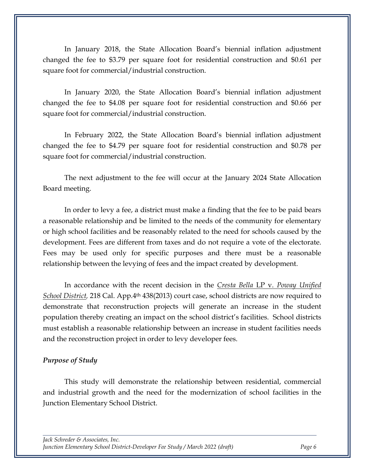In January 2018, the State Allocation Board's biennial inflation adjustment changed the fee to \$3.79 per square foot for residential construction and \$0.61 per square foot for commercial/industrial construction.

In January 2020, the State Allocation Board's biennial inflation adjustment changed the fee to \$4.08 per square foot for residential construction and \$0.66 per square foot for commercial/industrial construction.

In February 2022, the State Allocation Board's biennial inflation adjustment changed the fee to \$4.79 per square foot for residential construction and \$0.78 per square foot for commercial/industrial construction.

The next adjustment to the fee will occur at the January 2024 State Allocation Board meeting.

In order to levy a fee, a district must make a finding that the fee to be paid bears a reasonable relationship and be limited to the needs of the community for elementary or high school facilities and be reasonably related to the need for schools caused by the development. Fees are different from taxes and do not require a vote of the electorate. Fees may be used only for specific purposes and there must be a reasonable relationship between the levying of fees and the impact created by development.

In accordance with the recent decision in the *Cresta Bella* LP v. *Poway Unified School District,* 218 Cal. App.4th 438(2013) court case, school districts are now required to demonstrate that reconstruction projects will generate an increase in the student population thereby creating an impact on the school district's facilities. School districts must establish a reasonable relationship between an increase in student facilities needs and the reconstruction project in order to levy developer fees.

#### *Purpose of Study*

This study will demonstrate the relationship between residential, commercial and industrial growth and the need for the modernization of school facilities in the Junction Elementary School District.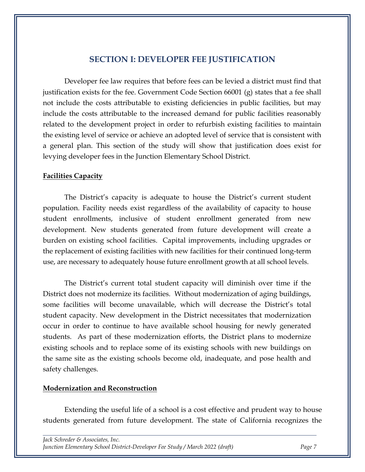### **SECTION I: DEVELOPER FEE JUSTIFICATION**

<span id="page-8-0"></span>Developer fee law requires that before fees can be levied a district must find that justification exists for the fee. Government Code Section 66001 (g) states that a fee shall not include the costs attributable to existing deficiencies in public facilities, but may include the costs attributable to the increased demand for public facilities reasonably related to the development project in order to refurbish existing facilities to maintain the existing level of service or achieve an adopted level of service that is consistent with a general plan. This section of the study will show that justification does exist for levying developer fees in the Junction Elementary School District.

#### <span id="page-8-1"></span>**Facilities Capacity**

The District's capacity is adequate to house the District's current student population. Facility needs exist regardless of the availability of capacity to house student enrollments, inclusive of student enrollment generated from new development. New students generated from future development will create a burden on existing school facilities. Capital improvements, including upgrades or the replacement of existing facilities with new facilities for their continued long-term use, are necessary to adequately house future enrollment growth at all school levels.

The District's current total student capacity will diminish over time if the District does not modernize its facilities. Without modernization of aging buildings, some facilities will become unavailable, which will decrease the District's total student capacity. New development in the District necessitates that modernization occur in order to continue to have available school housing for newly generated students. As part of these modernization efforts, the District plans to modernize existing schools and to replace some of its existing schools with new buildings on the same site as the existing schools become old, inadequate, and pose health and safety challenges.

#### <span id="page-8-2"></span>**Modernization and Reconstruction**

Extending the useful life of a school is a cost effective and prudent way to house students generated from future development. The state of California recognizes the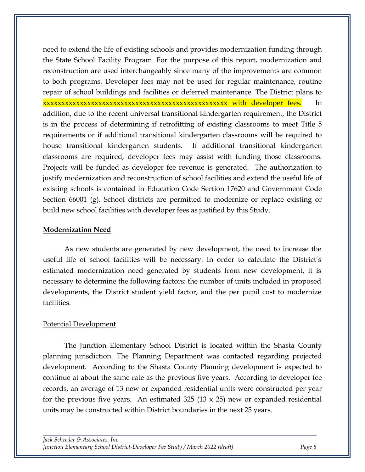need to extend the life of existing schools and provides modernization funding through the State School Facility Program. For the purpose of this report, modernization and reconstruction are used interchangeably since many of the improvements are common to both programs. Developer fees may not be used for regular maintenance, routine repair of school buildings and facilities or deferred maintenance. The District plans to xxxxxxxxxxxxxxxxxxxxxxxxxxxxxxxxxxxxxxxxxxxxxxxxxx with developer fees. In addition, due to the recent universal transitional kindergarten requirement, the District is in the process of determining if retrofitting of existing classrooms to meet Title 5 requirements or if additional transitional kindergarten classrooms will be required to house transitional kindergarten students. If additional transitional kindergarten classrooms are required, developer fees may assist with funding those classrooms. Projects will be funded as developer fee revenue is generated. The authorization to justify modernization and reconstruction of school facilities and extend the useful life of existing schools is contained in Education Code Section 17620 and Government Code Section 66001 (g). School districts are permitted to modernize or replace existing or build new school facilities with developer fees as justified by this Study.

#### <span id="page-9-0"></span>**Modernization Need**

As new students are generated by new development, the need to increase the useful life of school facilities will be necessary. In order to calculate the District's estimated modernization need generated by students from new development, it is necessary to determine the following factors: the number of units included in proposed developments, the District student yield factor, and the per pupil cost to modernize facilities.

#### Potential Development

The Junction Elementary School District is located within the Shasta County planning jurisdiction. The Planning Department was contacted regarding projected development. According to the Shasta County Planning development is expected to continue at about the same rate as the previous five years. According to developer fee records, an average of 13 new or expanded residential units were constructed per year for the previous five years. An estimated 325 (13  $\times$  25) new or expanded residential units may be constructed within District boundaries in the next 25 years.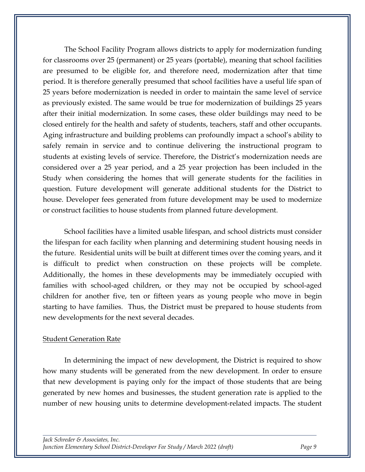The School Facility Program allows districts to apply for modernization funding for classrooms over 25 (permanent) or 25 years (portable), meaning that school facilities are presumed to be eligible for, and therefore need, modernization after that time period. It is therefore generally presumed that school facilities have a useful life span of 25 years before modernization is needed in order to maintain the same level of service as previously existed. The same would be true for modernization of buildings 25 years after their initial modernization. In some cases, these older buildings may need to be closed entirely for the health and safety of students, teachers, staff and other occupants. Aging infrastructure and building problems can profoundly impact a school's ability to safely remain in service and to continue delivering the instructional program to students at existing levels of service. Therefore, the District's modernization needs are considered over a 25 year period, and a 25 year projection has been included in the Study when considering the homes that will generate students for the facilities in question. Future development will generate additional students for the District to house. Developer fees generated from future development may be used to modernize or construct facilities to house students from planned future development.

School facilities have a limited usable lifespan, and school districts must consider the lifespan for each facility when planning and determining student housing needs in the future. Residential units will be built at different times over the coming years, and it is difficult to predict when construction on these projects will be complete. Additionally, the homes in these developments may be immediately occupied with families with school-aged children, or they may not be occupied by school-aged children for another five, ten or fifteen years as young people who move in begin starting to have families. Thus, the District must be prepared to house students from new developments for the next several decades.

#### **Student Generation Rate**

In determining the impact of new development, the District is required to show how many students will be generated from the new development. In order to ensure that new development is paying only for the impact of those students that are being generated by new homes and businesses, the student generation rate is applied to the number of new housing units to determine development-related impacts. The student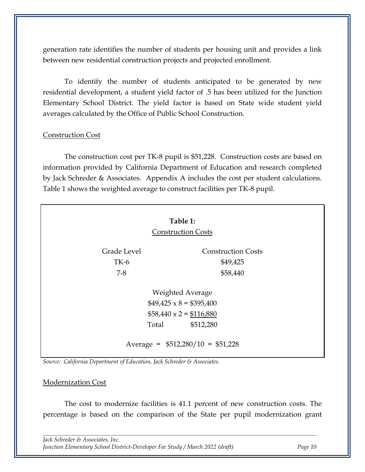generation rate identifies the number of students per housing unit and provides a link between new residential construction projects and projected enrollment.

To identify the number of students anticipated to be generated by new residential development, a student yield factor of .5 has been utilized for the Junction Elementary School District. The yield factor is based on State wide student yield averages calculated by the Office of Public School Construction.

#### Construction Cost

The construction cost per TK-8 pupil is \$51,228. Construction costs are based on information provided by California Department of Education and research completed by Jack Schreder & Associates. Appendix A includes the cost per student calculations. Table 1 shows the weighted average to construct facilities per TK-8 pupil.

<span id="page-11-0"></span>

|             | Table 1:                                                                                                 |
|-------------|----------------------------------------------------------------------------------------------------------|
|             | <b>Construction Costs</b>                                                                                |
| Grade Level | <b>Construction Costs</b>                                                                                |
| $TK-6$      | \$49,425                                                                                                 |
| $7 - 8$     | \$58,440                                                                                                 |
|             | Weighted Average<br>$$49,425 \times 8 = $395,400$<br>$$58,440 \times 2 = $116,880$<br>Total<br>\$512,280 |
|             | Average = $$512,280/10 = $51,228$                                                                        |

*Source: California Department of Education, Jack Schreder & Associates.*

#### Modernization Cost

The cost to modernize facilities is 41.1 percent of new construction costs. The percentage is based on the comparison of the State per pupil modernization grant

*Jack Schreder & Associates, Inc. Junction Elementary School District-Developer Fee Study / March 2022 (draft) Page 10*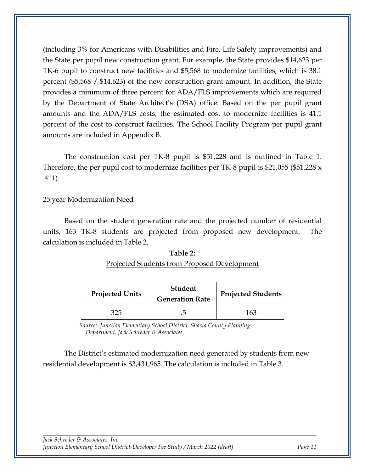(including 3% for Americans with Disabilities and Fire, Life Safety improvements) and the State per pupil new construction grant. For example, the State provides \$14,623 per TK-6 pupil to construct new facilities and \$5,568 to modernize facilities, which is 38.1 percent (\$5,568 / \$14,623) of the new construction grant amount. In addition, the State provides a minimum of three percent for ADA/FLS improvements which are required by the Department of State Architect's (DSA) office. Based on the per pupil grant amounts and the ADA/FLS costs, the estimated cost to modernize facilities is 41.1 percent of the cost to construct facilities. The School Facility Program per pupil grant amounts are included in Appendix B.

The construction cost per TK-8 pupil is \$51,228 and is outlined in Table 1. Therefore, the per pupil cost to modernize facilities per TK-8 pupil is \$21,055 (\$51,228 x .411).

#### 25 year Modernization Need

<span id="page-12-0"></span>Based on the student generation rate and the projected number of residential units, 163 TK-8 students are projected from proposed new development. The calculation is included in Table 2.

| 1001C                                        |
|----------------------------------------------|
| Projected Students from Proposed Development |

**Table 2:**

| <b>Projected Units</b> | <b>Student</b><br><b>Generation Rate</b> | <b>Projected Students</b> |
|------------------------|------------------------------------------|---------------------------|
| 325                    |                                          | 163                       |

 *Source: Junction Elementary School District, Shasta County Planning Department, Jack Schreder & Associates.*

The District's estimated modernization need generated by students from new residential development is \$3,431,965. The calculation is included in Table 3.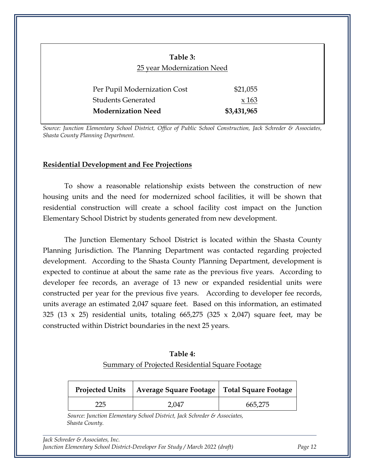<span id="page-13-1"></span>

| Table 3:<br>25 year Modernization Need |             |
|----------------------------------------|-------------|
| Per Pupil Modernization Cost           | \$21,055    |
| <b>Students Generated</b>              | x 163       |
| <b>Modernization Need</b>              | \$3,431,965 |

*Source: Junction Elementary School District, Office of Public School Construction, Jack Schreder & Associates, Shasta County Planning Department.*

#### <span id="page-13-0"></span>**Residential Development and Fee Projections**

To show a reasonable relationship exists between the construction of new housing units and the need for modernized school facilities, it will be shown that residential construction will create a school facility cost impact on the Junction Elementary School District by students generated from new development.

The Junction Elementary School District is located within the Shasta County Planning Jurisdiction. The Planning Department was contacted regarding projected development. According to the Shasta County Planning Department, development is expected to continue at about the same rate as the previous five years. According to developer fee records, an average of 13 new or expanded residential units were constructed per year for the previous five years. According to developer fee records, units average an estimated 2,047 square feet. Based on this information, an estimated 325 (13 x 25) residential units, totaling 665,275 (325 x 2,047) square feet, may be constructed within District boundaries in the next 25 years.

| Table 4:                                        |
|-------------------------------------------------|
| Summary of Projected Residential Square Footage |

<span id="page-13-2"></span>

| <b>Projected Units</b> | Average Square Footage   Total Square Footage |         |
|------------------------|-----------------------------------------------|---------|
| 225                    | 2,047                                         | 665,275 |

 *Source: Junction Elementary School District, Jack Schreder & Associates, Shasta County.*

*Jack Schreder & Associates, Inc. Junction Elementary School District-Developer Fee Study / March 2022 (draft) Page 12*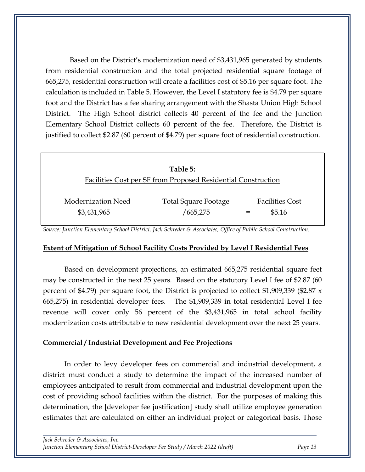Based on the District's modernization need of \$3,431,965 generated by students from residential construction and the total projected residential square footage of 665,275, residential construction will create a facilities cost of \$5.16 per square foot. The calculation is included in Table 5. However, the Level I statutory fee is \$4.79 per square foot and the District has a fee sharing arrangement with the Shasta Union High School District. The High School district collects 40 percent of the fee and the Junction Elementary School District collects 60 percent of the fee. Therefore, the District is justified to collect \$2.87 (60 percent of \$4.79) per square foot of residential construction.

<span id="page-14-2"></span>

|                                   | Table 5:                                                      |                                  |
|-----------------------------------|---------------------------------------------------------------|----------------------------------|
|                                   | Facilities Cost per SF from Proposed Residential Construction |                                  |
| Modernization Need<br>\$3,431,965 | Total Square Footage<br>665,275                               | <b>Facilities Cost</b><br>\$5.16 |

*Source: Junction Elementary School District, Jack Schreder & Associates, Office of Public School Construction.*

#### <span id="page-14-0"></span>**Extent of Mitigation of School Facility Costs Provided by Level I Residential Fees**

Based on development projections, an estimated 665,275 residential square feet may be constructed in the next 25 years. Based on the statutory Level I fee of \$2.87 (60 percent of \$4.79) per square foot, the District is projected to collect \$1,909,339 (\$2.87 x 665,275) in residential developer fees. The \$1,909,339 in total residential Level I fee revenue will cover only 56 percent of the \$3,431,965 in total school facility modernization costs attributable to new residential development over the next 25 years.

#### <span id="page-14-1"></span>**Commercial / Industrial Development and Fee Projections**

In order to levy developer fees on commercial and industrial development, a district must conduct a study to determine the impact of the increased number of employees anticipated to result from commercial and industrial development upon the cost of providing school facilities within the district. For the purposes of making this determination, the [developer fee justification] study shall utilize employee generation estimates that are calculated on either an individual project or categorical basis. Those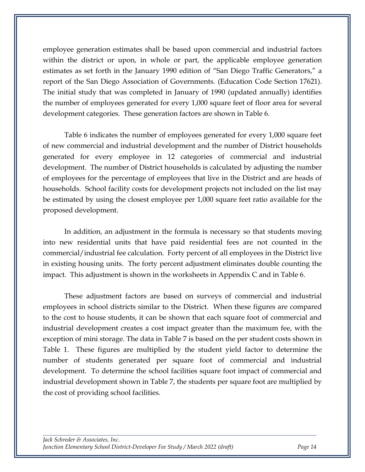employee generation estimates shall be based upon commercial and industrial factors within the district or upon, in whole or part, the applicable employee generation estimates as set forth in the January 1990 edition of "San Diego Traffic Generators," a report of the San Diego Association of Governments. (Education Code Section 17621). The initial study that was completed in January of 1990 (updated annually) identifies the number of employees generated for every 1,000 square feet of floor area for several development categories. These generation factors are shown in Table 6.

Table 6 indicates the number of employees generated for every 1,000 square feet of new commercial and industrial development and the number of District households generated for every employee in 12 categories of commercial and industrial development. The number of District households is calculated by adjusting the number of employees for the percentage of employees that live in the District and are heads of households. School facility costs for development projects not included on the list may be estimated by using the closest employee per 1,000 square feet ratio available for the proposed development.

In addition, an adjustment in the formula is necessary so that students moving into new residential units that have paid residential fees are not counted in the commercial/industrial fee calculation. Forty percent of all employees in the District live in existing housing units. The forty percent adjustment eliminates double counting the impact. This adjustment is shown in the worksheets in Appendix C and in Table 6.

These adjustment factors are based on surveys of commercial and industrial employees in school districts similar to the District. When these figures are compared to the cost to house students, it can be shown that each square foot of commercial and industrial development creates a cost impact greater than the maximum fee, with the exception of mini storage. The data in Table 7 is based on the per student costs shown in Table 1. These figures are multiplied by the student yield factor to determine the number of students generated per square foot of commercial and industrial development. To determine the school facilities square foot impact of commercial and industrial development shown in Table 7, the students per square foot are multiplied by the cost of providing school facilities.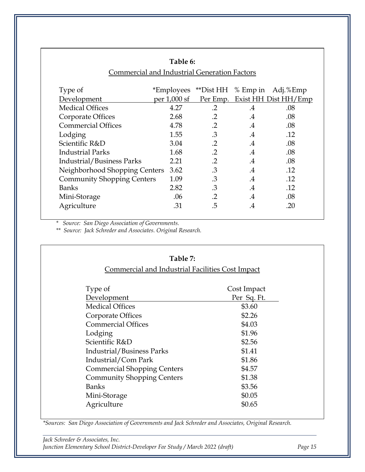<span id="page-16-0"></span>

|                                                     | Table 6:     |                    |               |                               |
|-----------------------------------------------------|--------------|--------------------|---------------|-------------------------------|
| <b>Commercial and Industrial Generation Factors</b> |              |                    |               |                               |
|                                                     |              |                    |               |                               |
| Type of                                             | *Employees   | **Dist HH % Emp in |               | Adj.%Emp                      |
| Development                                         | per 1,000 sf |                    |               | Per Emp. Exist HH Dist HH/Emp |
| <b>Medical Offices</b>                              | 4.27         | $\cdot$ .2         | $.4\,$        | .08                           |
| Corporate Offices                                   | 2.68         | $\cdot$ .2         | $\cdot$       | .08                           |
| <b>Commercial Offices</b>                           | 4.78         | $\cdot$ .2         | $\mathcal{A}$ | .08                           |
| Lodging                                             | 1.55         | .3                 | $\mathcal{A}$ | .12                           |
| Scientific R&D                                      | 3.04         | $\cdot$ .2         | $\cdot$       | .08                           |
| <b>Industrial Parks</b>                             | 1.68         | $\cdot$ .2         | $\mathcal{A}$ | .08                           |
| <b>Industrial/Business Parks</b>                    | 2.21         | $\cdot$ .2         | $.4\,$        | .08                           |
| Neighborhood Shopping Centers                       | 3.62         | .3                 | $.4\,$        | .12                           |
| <b>Community Shopping Centers</b>                   | 1.09         | .3                 | $\cdot$       | .12                           |
| <b>Banks</b>                                        | 2.82         | .3                 | $\cdot$       | .12                           |
| Mini-Storage                                        | .06          | $\cdot$ .2         | $\cdot$       | .08                           |
| Agriculture                                         | .31          | .5                 | .4            | .20                           |

*\* Source: San Diego Association of Governments.*

*\*\* Source: Jack Schreder and Associates. Original Research.*

<span id="page-16-1"></span>

| Table 7:<br>Commercial and Industrial Facilities Cost Impact |             |  |
|--------------------------------------------------------------|-------------|--|
|                                                              |             |  |
| Development                                                  | Per Sq. Ft. |  |
| <b>Medical Offices</b>                                       | \$3.60      |  |
| Corporate Offices                                            | \$2.26      |  |
| <b>Commercial Offices</b>                                    | \$4.03      |  |
| Lodging                                                      | \$1.96      |  |
| Scientific R&D                                               | \$2.56      |  |
| <b>Industrial/Business Parks</b>                             | \$1.41      |  |
| Industrial/Com Park                                          | \$1.86      |  |
| <b>Commercial Shopping Centers</b>                           | \$4.57      |  |
| <b>Community Shopping Centers</b>                            | \$1.38      |  |
| <b>Banks</b>                                                 | \$3.56      |  |
| Mini-Storage                                                 | \$0.05      |  |
| Agriculture                                                  | \$0.65      |  |

*\*Sources: San Diego Association of Governments and Jack Schreder and Associates, Original Research.*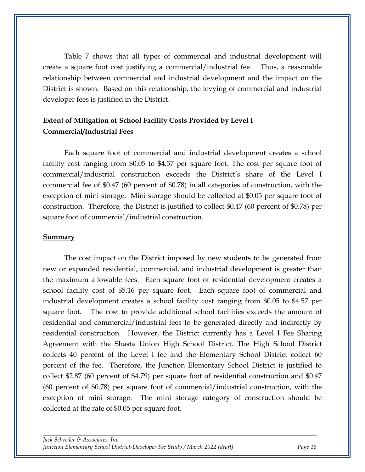Table 7 shows that all types of commercial and industrial development will create a square foot cost justifying a commercial/industrial fee. Thus, a reasonable relationship between commercial and industrial development and the impact on the District is shown. Based on this relationship, the levying of commercial and industrial developer fees is justified in the District.

### <span id="page-17-0"></span>**Extent of Mitigation of School Facility Costs Provided by Level I Commercial/Industrial Fees**

Each square foot of commercial and industrial development creates a school facility cost ranging from \$0.05 to \$4.57 per square foot. The cost per square foot of commercial/industrial construction exceeds the District's share of the Level I commercial fee of \$0.47 (60 percent of \$0.78) in all categories of construction, with the exception of mini storage. Mini storage should be collected at \$0.05 per square foot of construction. Therefore, the District is justified to collect \$0.47 (60 percent of \$0.78) per square foot of commercial/industrial construction.

#### <span id="page-17-1"></span>**Summary**

The cost impact on the District imposed by new students to be generated from new or expanded residential, commercial, and industrial development is greater than the maximum allowable fees. Each square foot of residential development creates a school facility cost of \$5.16 per square foot. Each square foot of commercial and industrial development creates a school facility cost ranging from \$0.05 to \$4.57 per square foot. The cost to provide additional school facilities exceeds the amount of residential and commercial/industrial fees to be generated directly and indirectly by residential construction. However, the District currently has a Level I Fee Sharing Agreement with the Shasta Union High School District. The High School District collects 40 percent of the Level I fee and the Elementary School District collect 60 percent of the fee. Therefore, the Junction Elementary School District is justified to collect \$2.87 (60 percent of \$4.79) per square foot of residential construction and \$0.47 (60 percent of \$0.78) per square foot of commercial/industrial construction, with the exception of mini storage. The mini storage category of construction should be collected at the rate of \$0.05 per square foot.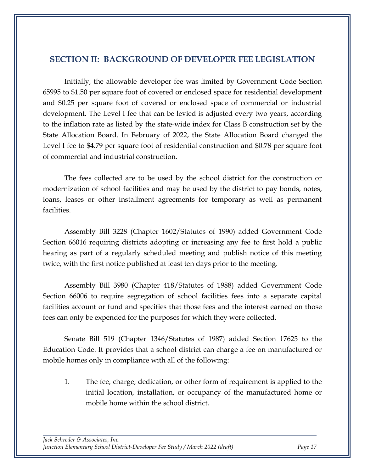### <span id="page-18-0"></span>**SECTION II: BACKGROUND OF DEVELOPER FEE LEGISLATION**

Initially, the allowable developer fee was limited by Government Code Section 65995 to \$1.50 per square foot of covered or enclosed space for residential development and \$0.25 per square foot of covered or enclosed space of commercial or industrial development. The Level I fee that can be levied is adjusted every two years, according to the inflation rate as listed by the state-wide index for Class B construction set by the State Allocation Board. In February of 2022, the State Allocation Board changed the Level I fee to \$4.79 per square foot of residential construction and \$0.78 per square foot of commercial and industrial construction.

The fees collected are to be used by the school district for the construction or modernization of school facilities and may be used by the district to pay bonds, notes, loans, leases or other installment agreements for temporary as well as permanent facilities.

Assembly Bill 3228 (Chapter 1602/Statutes of 1990) added Government Code Section 66016 requiring districts adopting or increasing any fee to first hold a public hearing as part of a regularly scheduled meeting and publish notice of this meeting twice, with the first notice published at least ten days prior to the meeting.

Assembly Bill 3980 (Chapter 418/Statutes of 1988) added Government Code Section 66006 to require segregation of school facilities fees into a separate capital facilities account or fund and specifies that those fees and the interest earned on those fees can only be expended for the purposes for which they were collected.

Senate Bill 519 (Chapter 1346/Statutes of 1987) added Section 17625 to the Education Code. It provides that a school district can charge a fee on manufactured or mobile homes only in compliance with all of the following:

1. The fee, charge, dedication, or other form of requirement is applied to the initial location, installation, or occupancy of the manufactured home or mobile home within the school district.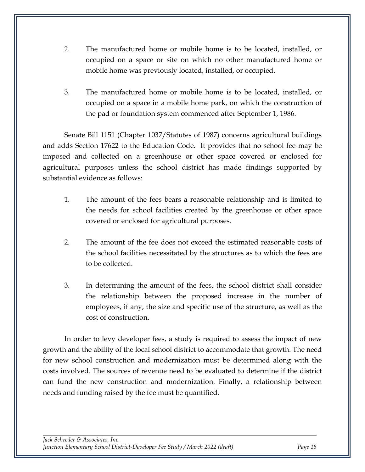- 2. The manufactured home or mobile home is to be located, installed, or occupied on a space or site on which no other manufactured home or mobile home was previously located, installed, or occupied.
- 3. The manufactured home or mobile home is to be located, installed, or occupied on a space in a mobile home park, on which the construction of the pad or foundation system commenced after September 1, 1986.

Senate Bill 1151 (Chapter 1037/Statutes of 1987) concerns agricultural buildings and adds Section 17622 to the Education Code. It provides that no school fee may be imposed and collected on a greenhouse or other space covered or enclosed for agricultural purposes unless the school district has made findings supported by substantial evidence as follows:

- 1. The amount of the fees bears a reasonable relationship and is limited to the needs for school facilities created by the greenhouse or other space covered or enclosed for agricultural purposes.
- 2. The amount of the fee does not exceed the estimated reasonable costs of the school facilities necessitated by the structures as to which the fees are to be collected.
- 3. In determining the amount of the fees, the school district shall consider the relationship between the proposed increase in the number of employees, if any, the size and specific use of the structure, as well as the cost of construction.

In order to levy developer fees, a study is required to assess the impact of new growth and the ability of the local school district to accommodate that growth. The need for new school construction and modernization must be determined along with the costs involved. The sources of revenue need to be evaluated to determine if the district can fund the new construction and modernization. Finally, a relationship between needs and funding raised by the fee must be quantified.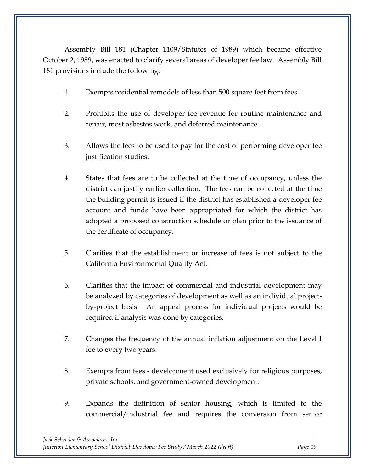Assembly Bill 181 (Chapter 1109/Statutes of 1989) which became effective October 2, 1989, was enacted to clarify several areas of developer fee law. Assembly Bill 181 provisions include the following:

- 1. Exempts residential remodels of less than 500 square feet from fees.
- 2. Prohibits the use of developer fee revenue for routine maintenance and repair, most asbestos work, and deferred maintenance.
- 3. Allows the fees to be used to pay for the cost of performing developer fee justification studies.
- 4. States that fees are to be collected at the time of occupancy, unless the district can justify earlier collection. The fees can be collected at the time the building permit is issued if the district has established a developer fee account and funds have been appropriated for which the district has adopted a proposed construction schedule or plan prior to the issuance of the certificate of occupancy.
- 5. Clarifies that the establishment or increase of fees is not subject to the California Environmental Quality Act.
- 6. Clarifies that the impact of commercial and industrial development may be analyzed by categories of development as well as an individual projectby-project basis. An appeal process for individual projects would be required if analysis was done by categories.
- 7. Changes the frequency of the annual inflation adjustment on the Level I fee to every two years.
- 8. Exempts from fees development used exclusively for religious purposes, private schools, and government-owned development.
- 9. Expands the definition of senior housing, which is limited to the commercial/industrial fee and requires the conversion from senior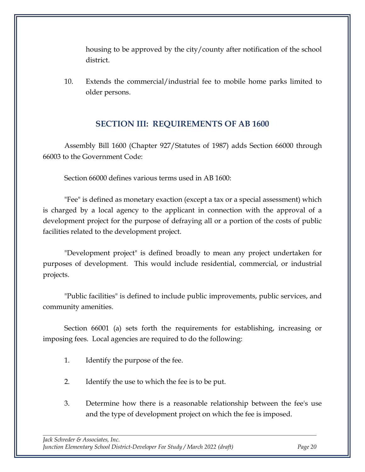housing to be approved by the city/county after notification of the school district.

10. Extends the commercial/industrial fee to mobile home parks limited to older persons.

### **SECTION III: REQUIREMENTS OF AB 1600**

<span id="page-21-0"></span>Assembly Bill 1600 (Chapter 927/Statutes of 1987) adds Section 66000 through 66003 to the Government Code:

Section 66000 defines various terms used in AB 1600:

"Fee" is defined as monetary exaction (except a tax or a special assessment) which is charged by a local agency to the applicant in connection with the approval of a development project for the purpose of defraying all or a portion of the costs of public facilities related to the development project.

"Development project" is defined broadly to mean any project undertaken for purposes of development. This would include residential, commercial, or industrial projects.

"Public facilities" is defined to include public improvements, public services, and community amenities.

Section 66001 (a) sets forth the requirements for establishing, increasing or imposing fees. Local agencies are required to do the following:

- 1. Identify the purpose of the fee.
- 2. Identify the use to which the fee is to be put.
- 3. Determine how there is a reasonable relationship between the fee's use and the type of development project on which the fee is imposed.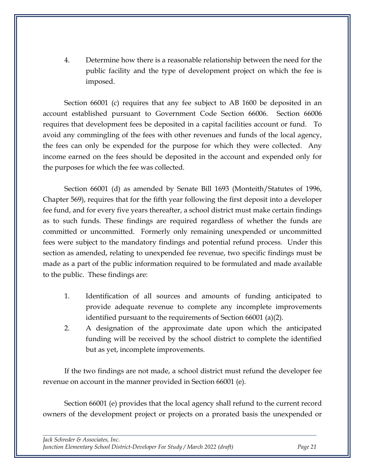4. Determine how there is a reasonable relationship between the need for the public facility and the type of development project on which the fee is imposed.

Section 66001 (c) requires that any fee subject to AB 1600 be deposited in an account established pursuant to Government Code Section 66006. Section 66006 requires that development fees be deposited in a capital facilities account or fund. To avoid any commingling of the fees with other revenues and funds of the local agency, the fees can only be expended for the purpose for which they were collected. Any income earned on the fees should be deposited in the account and expended only for the purposes for which the fee was collected.

Section 66001 (d) as amended by Senate Bill 1693 (Monteith/Statutes of 1996, Chapter 569), requires that for the fifth year following the first deposit into a developer fee fund, and for every five years thereafter, a school district must make certain findings as to such funds. These findings are required regardless of whether the funds are committed or uncommitted. Formerly only remaining unexpended or uncommitted fees were subject to the mandatory findings and potential refund process. Under this section as amended, relating to unexpended fee revenue, two specific findings must be made as a part of the public information required to be formulated and made available to the public. These findings are:

- 1. Identification of all sources and amounts of funding anticipated to provide adequate revenue to complete any incomplete improvements identified pursuant to the requirements of Section 66001 (a)(2).
- 2. A designation of the approximate date upon which the anticipated funding will be received by the school district to complete the identified but as yet, incomplete improvements.

If the two findings are not made, a school district must refund the developer fee revenue on account in the manner provided in Section 66001 (e).

Section 66001 (e) provides that the local agency shall refund to the current record owners of the development project or projects on a prorated basis the unexpended or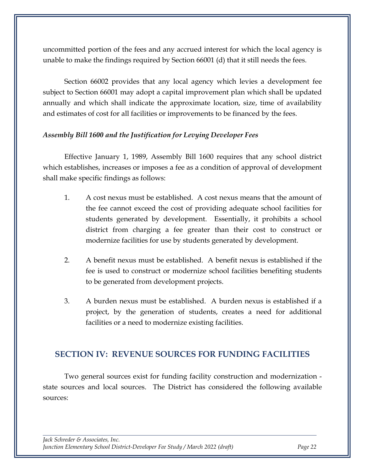uncommitted portion of the fees and any accrued interest for which the local agency is unable to make the findings required by Section 66001 (d) that it still needs the fees.

Section 66002 provides that any local agency which levies a development fee subject to Section 66001 may adopt a capital improvement plan which shall be updated annually and which shall indicate the approximate location, size, time of availability and estimates of cost for all facilities or improvements to be financed by the fees.

#### *Assembly Bill 1600 and the Justification for Levying Developer Fees*

Effective January 1, 1989, Assembly Bill 1600 requires that any school district which establishes, increases or imposes a fee as a condition of approval of development shall make specific findings as follows:

- 1. A cost nexus must be established. A cost nexus means that the amount of the fee cannot exceed the cost of providing adequate school facilities for students generated by development. Essentially, it prohibits a school district from charging a fee greater than their cost to construct or modernize facilities for use by students generated by development.
- 2. A benefit nexus must be established. A benefit nexus is established if the fee is used to construct or modernize school facilities benefiting students to be generated from development projects.
- 3. A burden nexus must be established. A burden nexus is established if a project, by the generation of students, creates a need for additional facilities or a need to modernize existing facilities.

### <span id="page-23-0"></span>**SECTION IV: REVENUE SOURCES FOR FUNDING FACILITIES**

Two general sources exist for funding facility construction and modernization state sources and local sources. The District has considered the following available sources: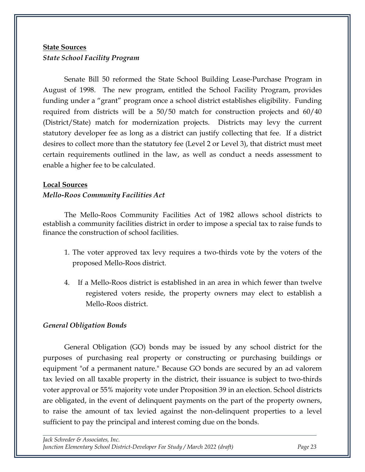### <span id="page-24-0"></span>**State Sources** *State School Facility Program*

Senate Bill 50 reformed the State School Building Lease-Purchase Program in August of 1998. The new program, entitled the School Facility Program, provides funding under a "grant" program once a school district establishes eligibility. Funding required from districts will be a 50/50 match for construction projects and 60/40 (District/State) match for modernization projects. Districts may levy the current statutory developer fee as long as a district can justify collecting that fee. If a district desires to collect more than the statutory fee (Level 2 or Level 3), that district must meet certain requirements outlined in the law, as well as conduct a needs assessment to enable a higher fee to be calculated.

#### <span id="page-24-1"></span>**Local Sources**

#### *Mello-Roos Community Facilities Act*

The Mello-Roos Community Facilities Act of 1982 allows school districts to establish a community facilities district in order to impose a special tax to raise funds to finance the construction of school facilities.

- 1. The voter approved tax levy requires a two-thirds vote by the voters of the proposed Mello-Roos district.
- 4. If a Mello-Roos district is established in an area in which fewer than twelve registered voters reside, the property owners may elect to establish a Mello-Roos district.

#### *General Obligation Bonds*

General Obligation (GO) bonds may be issued by any school district for the purposes of purchasing real property or constructing or purchasing buildings or equipment "of a permanent nature." Because GO bonds are secured by an ad valorem tax levied on all taxable property in the district, their issuance is subject to two-thirds voter approval or 55% majority vote under Proposition 39 in an election. School districts are obligated, in the event of delinquent payments on the part of the property owners, to raise the amount of tax levied against the non-delinquent properties to a level sufficient to pay the principal and interest coming due on the bonds.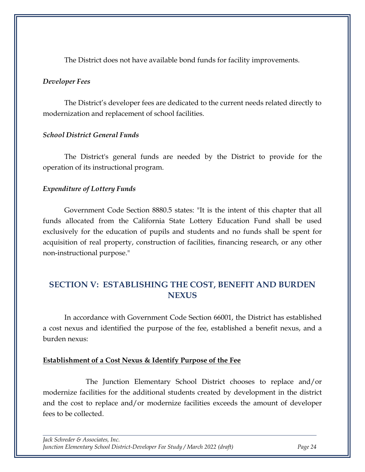The District does not have available bond funds for facility improvements.

#### *Developer Fees*

The District's developer fees are dedicated to the current needs related directly to modernization and replacement of school facilities.

#### *School District General Funds*

The District's general funds are needed by the District to provide for the operation of its instructional program.

#### *Expenditure of Lottery Funds*

Government Code Section 8880.5 states: "It is the intent of this chapter that all funds allocated from the California State Lottery Education Fund shall be used exclusively for the education of pupils and students and no funds shall be spent for acquisition of real property, construction of facilities, financing research, or any other non-instructional purpose."

## <span id="page-25-0"></span>**SECTION V: ESTABLISHING THE COST, BENEFIT AND BURDEN NEXUS**

In accordance with Government Code Section 66001, the District has established a cost nexus and identified the purpose of the fee, established a benefit nexus, and a burden nexus:

#### **Establishment of a Cost Nexus & Identify Purpose of the Fee**

The Junction Elementary School District chooses to replace and/or modernize facilities for the additional students created by development in the district and the cost to replace and/or modernize facilities exceeds the amount of developer fees to be collected.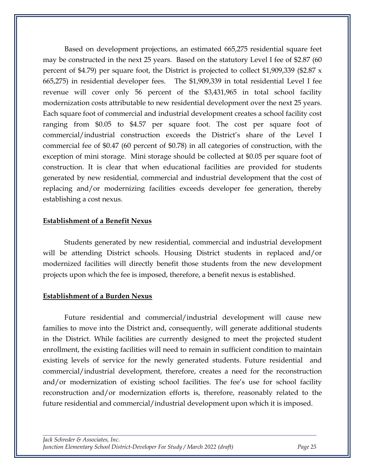Based on development projections, an estimated 665,275 residential square feet may be constructed in the next 25 years. Based on the statutory Level I fee of \$2.87 (60 percent of \$4.79) per square foot, the District is projected to collect \$1,909,339 (\$2.87 x 665,275) in residential developer fees. The \$1,909,339 in total residential Level I fee revenue will cover only 56 percent of the \$3,431,965 in total school facility modernization costs attributable to new residential development over the next 25 years. Each square foot of commercial and industrial development creates a school facility cost ranging from \$0.05 to \$4.57 per square foot. The cost per square foot of commercial/industrial construction exceeds the District's share of the Level I commercial fee of \$0.47 (60 percent of \$0.78) in all categories of construction, with the exception of mini storage. Mini storage should be collected at \$0.05 per square foot of construction. It is clear that when educational facilities are provided for students generated by new residential, commercial and industrial development that the cost of replacing and/or modernizing facilities exceeds developer fee generation, thereby establishing a cost nexus.

#### **Establishment of a Benefit Nexus**

Students generated by new residential, commercial and industrial development will be attending District schools. Housing District students in replaced and/or modernized facilities will directly benefit those students from the new development projects upon which the fee is imposed, therefore, a benefit nexus is established.

#### **Establishment of a Burden Nexus**

Future residential and commercial/industrial development will cause new families to move into the District and, consequently, will generate additional students in the District. While facilities are currently designed to meet the projected student enrollment, the existing facilities will need to remain in sufficient condition to maintain existing levels of service for the newly generated students. Future residential and commercial/industrial development, therefore, creates a need for the reconstruction and/or modernization of existing school facilities. The fee's use for school facility reconstruction and/or modernization efforts is, therefore, reasonably related to the future residential and commercial/industrial development upon which it is imposed.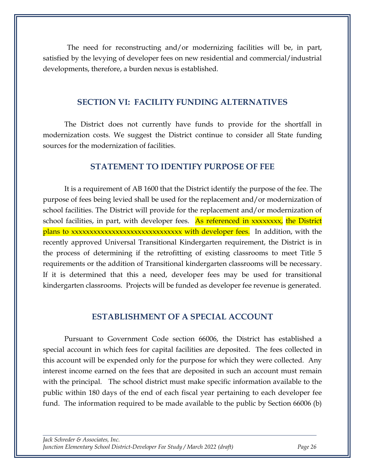The need for reconstructing and/or modernizing facilities will be, in part, satisfied by the levying of developer fees on new residential and commercial/industrial developments, therefore, a burden nexus is established.

#### **SECTION VI: FACILITY FUNDING ALTERNATIVES**

<span id="page-27-0"></span>The District does not currently have funds to provide for the shortfall in modernization costs. We suggest the District continue to consider all State funding sources for the modernization of facilities.

#### **STATEMENT TO IDENTIFY PURPOSE OF FEE**

<span id="page-27-1"></span>It is a requirement of AB 1600 that the District identify the purpose of the fee. The purpose of fees being levied shall be used for the replacement and/or modernization of school facilities. The District will provide for the replacement and/or modernization of school facilities, in part, with developer fees. As referenced in xxxxxxxx, the District plans to xxxxxxxxxxxxxxxxxxxxxxxxxxxxx with developer fees. In addition, with the recently approved Universal Transitional Kindergarten requirement, the District is in the process of determining if the retrofitting of existing classrooms to meet Title 5 requirements or the addition of Transitional kindergarten classrooms will be necessary. If it is determined that this a need, developer fees may be used for transitional kindergarten classrooms. Projects will be funded as developer fee revenue is generated.

#### **ESTABLISHMENT OF A SPECIAL ACCOUNT**

<span id="page-27-2"></span>Pursuant to Government Code section 66006, the District has established a special account in which fees for capital facilities are deposited. The fees collected in this account will be expended only for the purpose for which they were collected. Any interest income earned on the fees that are deposited in such an account must remain with the principal. The school district must make specific information available to the public within 180 days of the end of each fiscal year pertaining to each developer fee fund. The information required to be made available to the public by Section 66006 (b)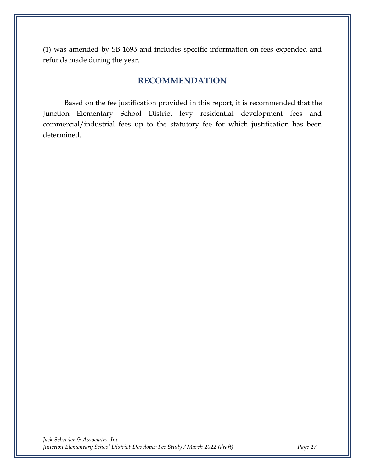(1) was amended by SB 1693 and includes specific information on fees expended and refunds made during the year.

### **RECOMMENDATION**

<span id="page-28-0"></span>Based on the fee justification provided in this report, it is recommended that the Junction Elementary School District levy residential development fees and commercial/industrial fees up to the statutory fee for which justification has been determined.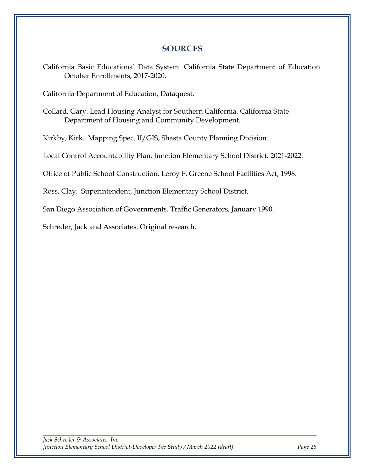### **SOURCES**

<span id="page-29-0"></span>California Basic Educational Data System. California State Department of Education. October Enrollments, 2017-2020.

California Department of Education, Dataquest.

Collard, Gary. Lead Housing Analyst for Southern California. California State Department of Housing and Community Development.

Kirkby, Kirk. Mapping Spec. II/GIS, Shasta County Planning Division.

Local Control Accountability Plan. Junction Elementary School District. 2021-2022.

Office of Public School Construction. Leroy F. Greene School Facilities Act, 1998.

Ross, Clay. Superintendent, Junction Elementary School District.

San Diego Association of Governments. Traffic Generators, January 1990.

Schreder, Jack and Associates. Original research.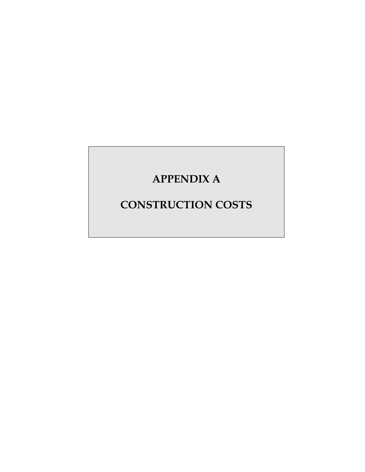# **APPENDIX A**

# **CONSTRUCTION COSTS**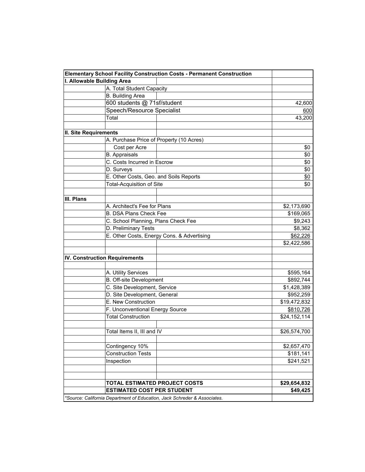| I. Allowable Building Area<br>A. Total Student Capacity<br><b>B.</b> Building Area<br>600 students @ 71sf/student<br>Speech/Resource Specialist<br>Total<br>II. Site Requirements<br>A. Purchase Price of Property (10 Acres)<br>Cost per Acre<br><b>B.</b> Appraisals<br>C. Costs Incurred in Escrow<br>D. Surveys<br>E. Other Costs, Geo. and Soils Reports<br><b>Total-Acquisition of Site</b><br>III. Plans<br>A. Architect's Fee for Plans<br><b>B. DSA Plans Check Fee</b><br>C. School Planning, Plans Check Fee<br>D. Preliminary Tests<br>E. Other Costs, Energy Cons. & Advertising<br><b>IV. Construction Requirements</b><br>A. Utility Services<br>\$595,164<br><b>B.</b> Off-site Development<br>\$892,744<br>C. Site Development, Service<br>\$1,428,389<br>D. Site Development, General<br>\$952,259<br>E. New Construction<br>\$19,472,832<br>F. Unconventional Energy Source<br>\$810,726<br><b>Total Construction</b><br>\$24,152,114<br>Total Items II, III and IV<br>Contingency 10% | <b>Elementary School Facility Construction Costs - Permanent Construction</b> |              |
|-----------------------------------------------------------------------------------------------------------------------------------------------------------------------------------------------------------------------------------------------------------------------------------------------------------------------------------------------------------------------------------------------------------------------------------------------------------------------------------------------------------------------------------------------------------------------------------------------------------------------------------------------------------------------------------------------------------------------------------------------------------------------------------------------------------------------------------------------------------------------------------------------------------------------------------------------------------------------------------------------------------|-------------------------------------------------------------------------------|--------------|
|                                                                                                                                                                                                                                                                                                                                                                                                                                                                                                                                                                                                                                                                                                                                                                                                                                                                                                                                                                                                           |                                                                               |              |
|                                                                                                                                                                                                                                                                                                                                                                                                                                                                                                                                                                                                                                                                                                                                                                                                                                                                                                                                                                                                           |                                                                               |              |
|                                                                                                                                                                                                                                                                                                                                                                                                                                                                                                                                                                                                                                                                                                                                                                                                                                                                                                                                                                                                           |                                                                               |              |
|                                                                                                                                                                                                                                                                                                                                                                                                                                                                                                                                                                                                                                                                                                                                                                                                                                                                                                                                                                                                           |                                                                               | 42,600       |
|                                                                                                                                                                                                                                                                                                                                                                                                                                                                                                                                                                                                                                                                                                                                                                                                                                                                                                                                                                                                           |                                                                               | 600          |
|                                                                                                                                                                                                                                                                                                                                                                                                                                                                                                                                                                                                                                                                                                                                                                                                                                                                                                                                                                                                           |                                                                               | 43,200       |
|                                                                                                                                                                                                                                                                                                                                                                                                                                                                                                                                                                                                                                                                                                                                                                                                                                                                                                                                                                                                           |                                                                               |              |
|                                                                                                                                                                                                                                                                                                                                                                                                                                                                                                                                                                                                                                                                                                                                                                                                                                                                                                                                                                                                           |                                                                               |              |
|                                                                                                                                                                                                                                                                                                                                                                                                                                                                                                                                                                                                                                                                                                                                                                                                                                                                                                                                                                                                           |                                                                               |              |
|                                                                                                                                                                                                                                                                                                                                                                                                                                                                                                                                                                                                                                                                                                                                                                                                                                                                                                                                                                                                           |                                                                               | \$0          |
|                                                                                                                                                                                                                                                                                                                                                                                                                                                                                                                                                                                                                                                                                                                                                                                                                                                                                                                                                                                                           |                                                                               | \$0          |
|                                                                                                                                                                                                                                                                                                                                                                                                                                                                                                                                                                                                                                                                                                                                                                                                                                                                                                                                                                                                           |                                                                               | \$0          |
|                                                                                                                                                                                                                                                                                                                                                                                                                                                                                                                                                                                                                                                                                                                                                                                                                                                                                                                                                                                                           |                                                                               | \$0          |
|                                                                                                                                                                                                                                                                                                                                                                                                                                                                                                                                                                                                                                                                                                                                                                                                                                                                                                                                                                                                           |                                                                               | \$0          |
|                                                                                                                                                                                                                                                                                                                                                                                                                                                                                                                                                                                                                                                                                                                                                                                                                                                                                                                                                                                                           |                                                                               | \$0          |
|                                                                                                                                                                                                                                                                                                                                                                                                                                                                                                                                                                                                                                                                                                                                                                                                                                                                                                                                                                                                           |                                                                               |              |
|                                                                                                                                                                                                                                                                                                                                                                                                                                                                                                                                                                                                                                                                                                                                                                                                                                                                                                                                                                                                           |                                                                               |              |
|                                                                                                                                                                                                                                                                                                                                                                                                                                                                                                                                                                                                                                                                                                                                                                                                                                                                                                                                                                                                           |                                                                               | \$2,173,690  |
|                                                                                                                                                                                                                                                                                                                                                                                                                                                                                                                                                                                                                                                                                                                                                                                                                                                                                                                                                                                                           |                                                                               | \$169,065    |
|                                                                                                                                                                                                                                                                                                                                                                                                                                                                                                                                                                                                                                                                                                                                                                                                                                                                                                                                                                                                           |                                                                               | \$9,243      |
|                                                                                                                                                                                                                                                                                                                                                                                                                                                                                                                                                                                                                                                                                                                                                                                                                                                                                                                                                                                                           |                                                                               | \$8,362      |
|                                                                                                                                                                                                                                                                                                                                                                                                                                                                                                                                                                                                                                                                                                                                                                                                                                                                                                                                                                                                           |                                                                               | \$62,226     |
|                                                                                                                                                                                                                                                                                                                                                                                                                                                                                                                                                                                                                                                                                                                                                                                                                                                                                                                                                                                                           |                                                                               | \$2,422,586  |
|                                                                                                                                                                                                                                                                                                                                                                                                                                                                                                                                                                                                                                                                                                                                                                                                                                                                                                                                                                                                           |                                                                               |              |
|                                                                                                                                                                                                                                                                                                                                                                                                                                                                                                                                                                                                                                                                                                                                                                                                                                                                                                                                                                                                           |                                                                               |              |
|                                                                                                                                                                                                                                                                                                                                                                                                                                                                                                                                                                                                                                                                                                                                                                                                                                                                                                                                                                                                           |                                                                               |              |
|                                                                                                                                                                                                                                                                                                                                                                                                                                                                                                                                                                                                                                                                                                                                                                                                                                                                                                                                                                                                           |                                                                               |              |
|                                                                                                                                                                                                                                                                                                                                                                                                                                                                                                                                                                                                                                                                                                                                                                                                                                                                                                                                                                                                           |                                                                               |              |
|                                                                                                                                                                                                                                                                                                                                                                                                                                                                                                                                                                                                                                                                                                                                                                                                                                                                                                                                                                                                           |                                                                               |              |
|                                                                                                                                                                                                                                                                                                                                                                                                                                                                                                                                                                                                                                                                                                                                                                                                                                                                                                                                                                                                           |                                                                               |              |
|                                                                                                                                                                                                                                                                                                                                                                                                                                                                                                                                                                                                                                                                                                                                                                                                                                                                                                                                                                                                           |                                                                               |              |
|                                                                                                                                                                                                                                                                                                                                                                                                                                                                                                                                                                                                                                                                                                                                                                                                                                                                                                                                                                                                           |                                                                               |              |
|                                                                                                                                                                                                                                                                                                                                                                                                                                                                                                                                                                                                                                                                                                                                                                                                                                                                                                                                                                                                           |                                                                               |              |
|                                                                                                                                                                                                                                                                                                                                                                                                                                                                                                                                                                                                                                                                                                                                                                                                                                                                                                                                                                                                           |                                                                               | \$26,574,700 |
|                                                                                                                                                                                                                                                                                                                                                                                                                                                                                                                                                                                                                                                                                                                                                                                                                                                                                                                                                                                                           |                                                                               |              |
|                                                                                                                                                                                                                                                                                                                                                                                                                                                                                                                                                                                                                                                                                                                                                                                                                                                                                                                                                                                                           |                                                                               | \$2,657,470  |
| <b>Construction Tests</b>                                                                                                                                                                                                                                                                                                                                                                                                                                                                                                                                                                                                                                                                                                                                                                                                                                                                                                                                                                                 |                                                                               | \$181,141    |
| Inspection                                                                                                                                                                                                                                                                                                                                                                                                                                                                                                                                                                                                                                                                                                                                                                                                                                                                                                                                                                                                |                                                                               | \$241,521    |
|                                                                                                                                                                                                                                                                                                                                                                                                                                                                                                                                                                                                                                                                                                                                                                                                                                                                                                                                                                                                           |                                                                               |              |
| TOTAL ESTIMATED PROJECT COSTS                                                                                                                                                                                                                                                                                                                                                                                                                                                                                                                                                                                                                                                                                                                                                                                                                                                                                                                                                                             |                                                                               | \$29,654,832 |
| <b>ESTIMATED COST PER STUDENT</b>                                                                                                                                                                                                                                                                                                                                                                                                                                                                                                                                                                                                                                                                                                                                                                                                                                                                                                                                                                         |                                                                               | \$49,425     |
| *Source: California Department of Education, Jack Schreder & Associates.                                                                                                                                                                                                                                                                                                                                                                                                                                                                                                                                                                                                                                                                                                                                                                                                                                                                                                                                  |                                                                               |              |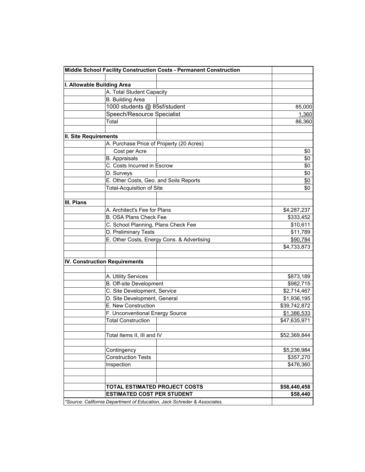|                              | Middle School Facility Construction Costs - Permanent Construction       |              |
|------------------------------|--------------------------------------------------------------------------|--------------|
|                              |                                                                          |              |
|                              | I. Allowable Building Area                                               |              |
|                              | A. Total Student Capacity                                                |              |
|                              | <b>B.</b> Building Area                                                  |              |
|                              | 1000 students @ 85sf/student                                             | 85,000       |
|                              | Speech/Resource Specialist                                               | 1,360        |
|                              | Total                                                                    | 86,360       |
|                              |                                                                          |              |
| <b>II. Site Requirements</b> |                                                                          |              |
|                              | A. Purchase Price of Property (20 Acres)                                 |              |
|                              | Cost per Acre                                                            | \$0          |
|                              | <b>B.</b> Appraisals                                                     | \$0          |
|                              | C. Costs Incurred in Escrow                                              | \$0          |
|                              | D. Surveys                                                               | \$0          |
|                              | E. Other Costs, Geo. and Soils Reports                                   | \$0          |
|                              | <b>Total-Acquisition of Site</b>                                         | \$0          |
|                              |                                                                          |              |
| III. Plans                   |                                                                          |              |
|                              | A. Architect's Fee for Plans                                             | \$4,287,237  |
|                              | <b>B. OSA Plans Check Fee</b>                                            | \$333,452    |
|                              | C. School Planning, Plans Check Fee                                      | \$10,611     |
|                              | D. Preliminary Tests                                                     | \$11,789     |
|                              | E. Other Costs, Energy Cons. & Advertising                               | \$90,784     |
|                              |                                                                          | \$4,733,873  |
|                              |                                                                          |              |
|                              | <b>IV. Construction Requirements</b>                                     |              |
|                              |                                                                          |              |
|                              | A. Utility Services                                                      | \$873,189    |
|                              | B. Off-site Development                                                  | \$982,715    |
|                              | C. Site Development, Service                                             | \$2,714,467  |
|                              | D. Site Development, General                                             | \$1,936,195  |
|                              | E. New Construction                                                      | \$39,742,872 |
|                              | F. Unconventional Energy Source                                          | \$1,386,533  |
|                              | <b>Total Construction</b>                                                | \$47,635,971 |
|                              |                                                                          |              |
|                              | Total Items II, III and IV                                               | \$52,369,844 |
|                              |                                                                          |              |
|                              | Contingency                                                              | \$5,236,984  |
|                              | <b>Construction Tests</b>                                                | \$357,270    |
|                              | Inspection                                                               | \$476,360    |
|                              |                                                                          |              |
|                              |                                                                          |              |
|                              | TOTAL ESTIMATED PROJECT COSTS                                            | \$58,440,458 |
|                              | <b>ESTIMATED COST PER STUDENT</b>                                        | \$58,440     |
|                              | *Source: California Department of Education, Jack Schreder & Associates. |              |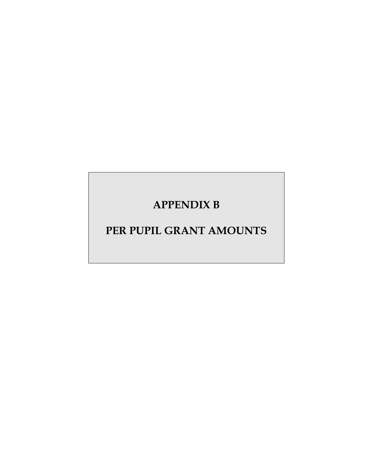# **APPENDIX B**

# **PER PUPIL GRANT AMOUNTS**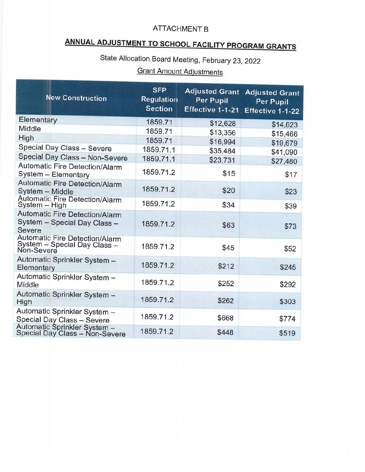# **ATTACHMENT B**

# ANNUAL ADJUSTMENT TO SCHOOL FACILITY PROGRAM GRANTS

State Allocation Board Meeting, February 23, 2022

# **Grant Amount Adjustments**

| <b>New Construction</b>                                                      | <b>SFP</b><br><b>Regulation</b><br><b>Section</b> | <b>Adjusted Grant</b><br>Per Pupil<br>Effective 1-1-21 | <b>Adjusted Grant</b><br><b>Per Pupil</b><br>Effective 1-1-22 |
|------------------------------------------------------------------------------|---------------------------------------------------|--------------------------------------------------------|---------------------------------------------------------------|
| Elementary                                                                   | 1859.71                                           | \$12,628                                               | \$14,623                                                      |
| Middle                                                                       | 1859.71                                           | \$13,356                                               | \$15,466                                                      |
| High                                                                         | 1859.71                                           | \$16,994                                               | \$19,679                                                      |
| Special Day Class - Severe                                                   | 1859.71.1                                         | \$35,484                                               | \$41,090                                                      |
| Special Day Class - Non-Severe                                               | 1859.71.1                                         | \$23,731                                               | \$27,480                                                      |
| Automatic Fire Detection/Alarm<br>System - Elementary                        | 1859.71.2                                         | \$15                                                   | \$17                                                          |
| <b>Automatic Fire Detection/Alarm</b><br>System - Middle                     | 1859.71.2                                         | \$20                                                   | \$23                                                          |
| <b>Automatic Fire Detection/Alarm</b><br>System - High                       | 1859.71.2                                         | \$34                                                   | \$39                                                          |
| Automatic Fire Detection/Alarm<br>System - Special Day Class -<br>Severe     | 1859.71.2                                         | \$63                                                   | \$73                                                          |
| Automatic Fire Detection/Alarm<br>System - Special Day Class -<br>Non-Severe | 1859.71.2                                         | \$45                                                   | \$52                                                          |
| Automatic Sprinkler System -<br>Elementary                                   | 1859.71.2                                         | \$212                                                  | \$245                                                         |
| Automatic Sprinkler System -<br>Middle                                       | 1859.71.2                                         | \$252                                                  | \$292                                                         |
| Automatic Sprinkler System -<br>High                                         | 1859.71.2                                         | \$262                                                  | \$303                                                         |
| Automatic Sprinkler System -<br>Special Day Class - Severe                   | 1859.71.2                                         | \$668                                                  | \$774                                                         |
| Automatic Sprinkler System –<br>Special Day Class – Non-Severe               | 1859.71.2                                         | \$448                                                  | \$519                                                         |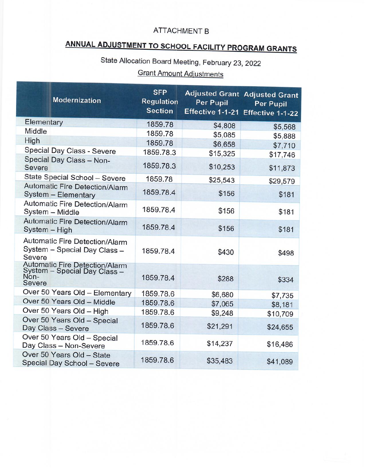### **ATTACHMENT B**

# ANNUAL ADJUSTMENT TO SCHOOL FACILITY PROGRAM GRANTS

State Allocation Board Meeting, February 23, 2022

# **Grant Amount Adjustments**

|  | <b>Modernization</b>                                                                    | <b>SFP</b><br><b>Regulation</b><br><b>Section</b> | <b>Per Pupil</b><br>Effective 1-1-21 | <b>Adjusted Grant Adjusted Grant</b><br>Per Pupil<br>Effective 1-1-22 |
|--|-----------------------------------------------------------------------------------------|---------------------------------------------------|--------------------------------------|-----------------------------------------------------------------------|
|  | Elementary                                                                              | 1859.78                                           | \$4,808                              | \$5,568                                                               |
|  | Middle                                                                                  | 1859.78                                           | \$5,085                              | \$5,888                                                               |
|  | High                                                                                    | 1859.78                                           | \$6,658                              | \$7,710                                                               |
|  | Special Day Class - Severe                                                              | 1859.78.3                                         | \$15,325                             | \$17,746                                                              |
|  | Special Day Class - Non-<br>Severe                                                      | 1859.78.3                                         | \$10,253                             | \$11,873                                                              |
|  | State Special School - Severe                                                           | 1859.78                                           | \$25,543                             | \$29,579                                                              |
|  | Automatic Fire Detection/Alarm<br>System - Elementary                                   | 1859.78.4                                         | \$156                                | \$181                                                                 |
|  | Automatic Fire Detection/Alarm<br>System - Middle                                       | 1859.78.4                                         | \$156                                | \$181                                                                 |
|  | Automatic Fire Detection/Alarm<br>System - High                                         | 1859.78.4                                         | \$156                                | \$181                                                                 |
|  | Automatic Fire Detection/Alarm<br>System - Special Day Class -<br>Severe                | 1859.78.4                                         | \$430                                | \$498                                                                 |
|  | <b>Automatic Fire Detection/Alarm</b><br>System - Special Day Class -<br>Non-<br>Severe | 1859.78.4                                         | \$288                                | \$334                                                                 |
|  | Over 50 Years Old - Elementary                                                          | 1859.78.6                                         | \$6,680                              | \$7,735                                                               |
|  | Over 50 Years Old - Middle                                                              | 1859.78.6                                         | \$7,065                              | \$8,181                                                               |
|  | Over 50 Years Old - High                                                                | 1859.78.6                                         | \$9,248                              | \$10,709                                                              |
|  | Over 50 Years Old - Special<br>Day Class - Severe                                       | 1859.78.6                                         | \$21,291                             | \$24,655                                                              |
|  | Over 50 Years Old - Special<br>Day Class - Non-Severe                                   | 1859.78.6                                         | \$14,237                             | \$16,486                                                              |
|  | Over 50 Years Old - State<br>Special Day School - Severe                                | 1859.78.6                                         | \$35,483                             | \$41,089                                                              |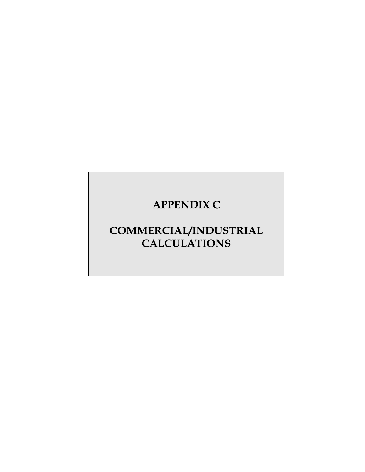# **APPENDIX C**

# **COMMERCIAL/INDUSTRIAL CALCULATIONS**